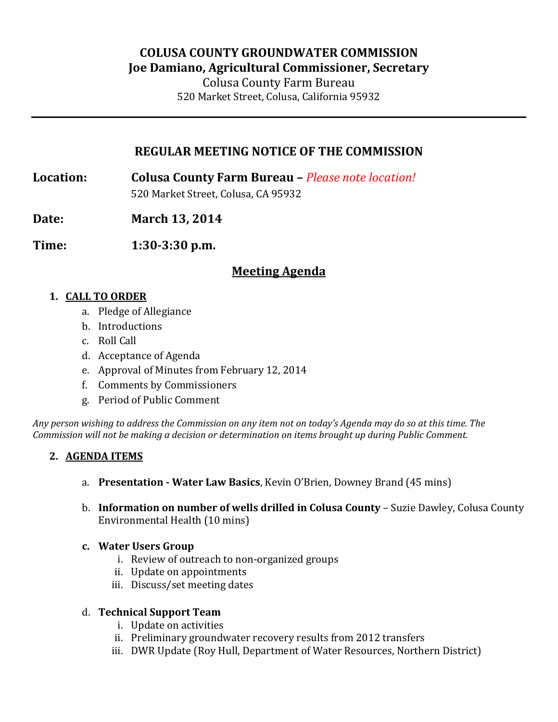# **COLUSA COUNTY GROUNDWATER COMMISSION Joe Damiano, Agricultural Commissioner, Secretary**

Colusa County Farm Bureau 520 Market Street, Colusa, California 95932

## **REGULAR MEETING NOTICE OF THE COMMISSION**

**Location: Colusa County Farm Bureau –** *Please note location!* 520 Market Street, Colusa, CA 95932

**Date: March 13, 2014**

**Time: 1:30-3:30 p.m.**

# **Meeting Agenda**

### **1. CALL TO ORDER**

- a. Pledge of Allegiance
- b. Introductions
- c. Roll Call
- d. Acceptance of Agenda
- e. Approval of Minutes from February 12, 2014
- f. Comments by Commissioners
- g. Period of Public Comment

*Any person wishing to address the Commission on any item not on today's Agenda may do so at this time. The Commission will not be making a decision or determination on items brought up during Public Comment.*

### **2. AGENDA ITEMS**

- a. **Presentation - Water Law Basics**, Kevin O'Brien, Downey Brand (45 mins)
- b. **Information on number of wells drilled in Colusa County** Suzie Dawley, Colusa County Environmental Health (10 mins)

### **c. Water Users Group**

- i. Review of outreach to non-organized groups
- ii. Update on appointments
- iii. Discuss/set meeting dates

### d. **Technical Support Team**

- i. Update on activities
- ii. Preliminary groundwater recovery results from 2012 transfers
- iii. DWR Update (Roy Hull, Department of Water Resources, Northern District)